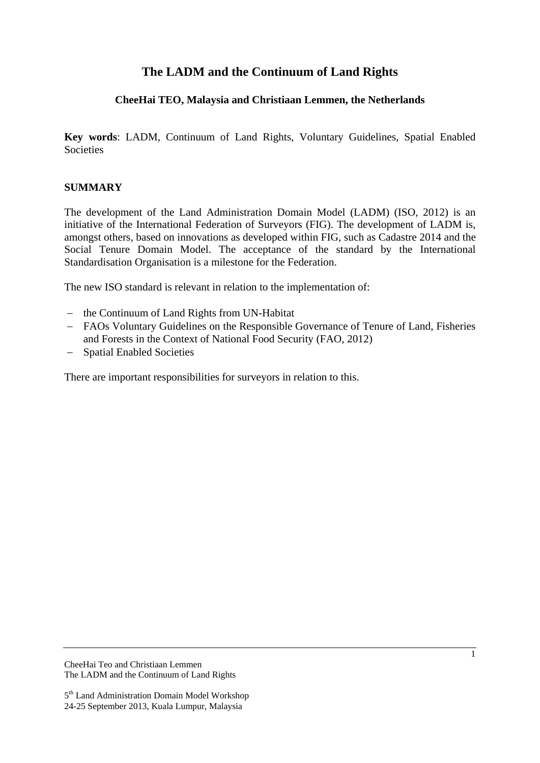# **The LADM and the Continuum of Land Rights**

## **CheeHai TEO, Malaysia and Christiaan Lemmen, the Netherlands**

**Key words**: LADM, Continuum of Land Rights, Voluntary Guidelines, Spatial Enabled Societies

### **SUMMARY**

The development of the Land Administration Domain Model (LADM) (ISO, 2012) is an initiative of the International Federation of Surveyors (FIG). The development of LADM is, amongst others, based on innovations as developed within FIG, such as Cadastre 2014 and the Social Tenure Domain Model. The acceptance of the standard by the International Standardisation Organisation is a milestone for the Federation.

The new ISO standard is relevant in relation to the implementation of:

- the Continuum of Land Rights from UN-Habitat
- FAOs Voluntary Guidelines on the Responsible Governance of Tenure of Land, Fisheries and Forests in the Context of National Food Security (FAO, 2012)
- Spatial Enabled Societies

There are important responsibilities for surveyors in relation to this.

<sup>5&</sup>lt;sup>th</sup> Land Administration Domain Model Workshop 24-25 September 2013, Kuala Lumpur, Malaysia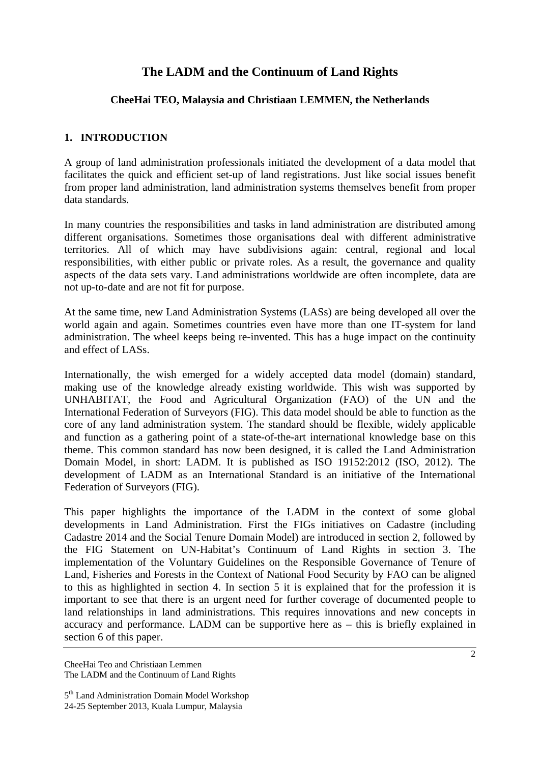# **The LADM and the Continuum of Land Rights**

### **CheeHai TEO, Malaysia and Christiaan LEMMEN, the Netherlands**

### **1. INTRODUCTION**

A group of land administration professionals initiated the development of a data model that facilitates the quick and efficient set-up of land registrations. Just like social issues benefit from proper land administration, land administration systems themselves benefit from proper data standards.

In many countries the responsibilities and tasks in land administration are distributed among different organisations. Sometimes those organisations deal with different administrative territories. All of which may have subdivisions again: central, regional and local responsibilities, with either public or private roles. As a result, the governance and quality aspects of the data sets vary. Land administrations worldwide are often incomplete, data are not up-to-date and are not fit for purpose.

At the same time, new Land Administration Systems (LASs) are being developed all over the world again and again. Sometimes countries even have more than one IT-system for land administration. The wheel keeps being re-invented. This has a huge impact on the continuity and effect of LASs.

Internationally, the wish emerged for a widely accepted data model (domain) standard, making use of the knowledge already existing worldwide. This wish was supported by UNHABITAT, the Food and Agricultural Organization (FAO) of the UN and the International Federation of Surveyors (FIG). This data model should be able to function as the core of any land administration system. The standard should be flexible, widely applicable and function as a gathering point of a state-of-the-art international knowledge base on this theme. This common standard has now been designed, it is called the Land Administration Domain Model, in short: LADM. It is published as ISO 19152:2012 (ISO, 2012). The development of LADM as an International Standard is an initiative of the International Federation of Surveyors (FIG).

This paper highlights the importance of the LADM in the context of some global developments in Land Administration. First the FIGs initiatives on Cadastre (including Cadastre 2014 and the Social Tenure Domain Model) are introduced in section 2, followed by the FIG Statement on UN-Habitat's Continuum of Land Rights in section 3. The implementation of the Voluntary Guidelines on the Responsible Governance of Tenure of Land, Fisheries and Forests in the Context of National Food Security by FAO can be aligned to this as highlighted in section 4. In section 5 it is explained that for the profession it is important to see that there is an urgent need for further coverage of documented people to land relationships in land administrations. This requires innovations and new concepts in accuracy and performance. LADM can be supportive here as – this is briefly explained in section 6 of this paper.

CheeHai Teo and Christiaan Lemmen The LADM and the Continuum of Land Rights

<sup>5&</sup>lt;sup>th</sup> Land Administration Domain Model Workshop 24-25 September 2013, Kuala Lumpur, Malaysia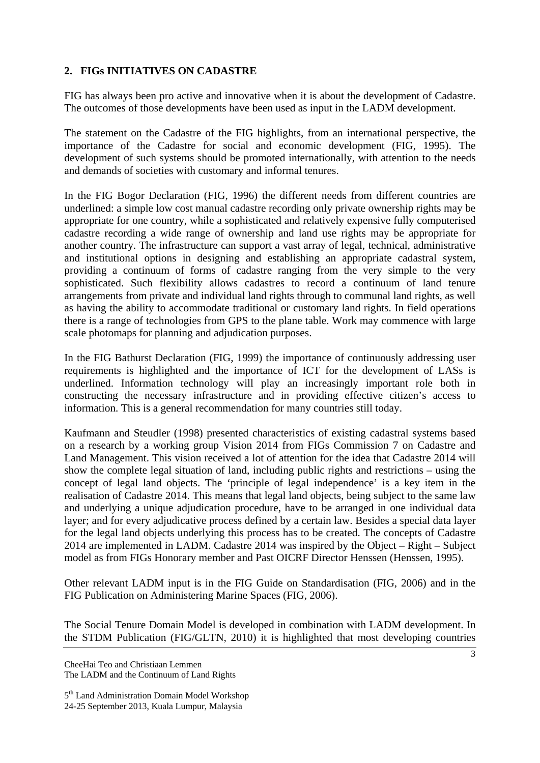## **2. FIGs INITIATIVES ON CADASTRE**

FIG has always been pro active and innovative when it is about the development of Cadastre. The outcomes of those developments have been used as input in the LADM development.

The statement on the Cadastre of the FIG highlights, from an international perspective, the importance of the Cadastre for social and economic development (FIG, 1995). The development of such systems should be promoted internationally, with attention to the needs and demands of societies with customary and informal tenures.

In the FIG Bogor Declaration (FIG, 1996) the different needs from different countries are underlined: a simple low cost manual cadastre recording only private ownership rights may be appropriate for one country, while a sophisticated and relatively expensive fully computerised cadastre recording a wide range of ownership and land use rights may be appropriate for another country. The infrastructure can support a vast array of legal, technical, administrative and institutional options in designing and establishing an appropriate cadastral system, providing a continuum of forms of cadastre ranging from the very simple to the very sophisticated. Such flexibility allows cadastres to record a continuum of land tenure arrangements from private and individual land rights through to communal land rights, as well as having the ability to accommodate traditional or customary land rights. In field operations there is a range of technologies from GPS to the plane table. Work may commence with large scale photomaps for planning and adjudication purposes.

In the FIG Bathurst Declaration (FIG, 1999) the importance of continuously addressing user requirements is highlighted and the importance of ICT for the development of LASs is underlined. Information technology will play an increasingly important role both in constructing the necessary infrastructure and in providing effective citizen's access to information. This is a general recommendation for many countries still today.

Kaufmann and Steudler (1998) presented characteristics of existing cadastral systems based on a research by a working group Vision 2014 from FIGs Commission 7 on Cadastre and Land Management. This vision received a lot of attention for the idea that Cadastre 2014 will show the complete legal situation of land, including public rights and restrictions – using the concept of legal land objects. The 'principle of legal independence' is a key item in the realisation of Cadastre 2014. This means that legal land objects, being subject to the same law and underlying a unique adjudication procedure, have to be arranged in one individual data layer; and for every adjudicative process defined by a certain law. Besides a special data layer for the legal land objects underlying this process has to be created. The concepts of Cadastre 2014 are implemented in LADM. Cadastre 2014 was inspired by the Object – Right – Subject model as from FIGs Honorary member and Past OICRF Director Henssen (Henssen, 1995).

Other relevant LADM input is in the FIG Guide on Standardisation (FIG, 2006) and in the FIG Publication on Administering Marine Spaces (FIG, 2006).

The Social Tenure Domain Model is developed in combination with LADM development. In the STDM Publication (FIG/GLTN, 2010) it is highlighted that most developing countries

CheeHai Teo and Christiaan Lemmen The LADM and the Continuum of Land Rights

<sup>5&</sup>lt;sup>th</sup> Land Administration Domain Model Workshop 24-25 September 2013, Kuala Lumpur, Malaysia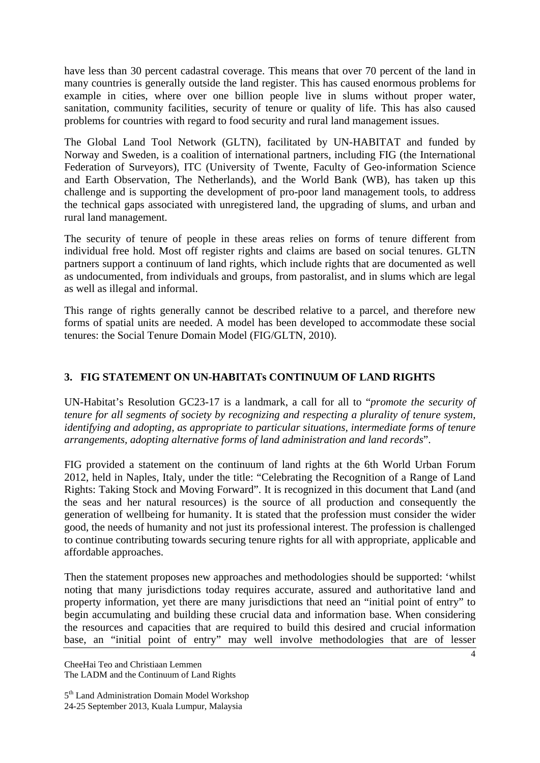have less than 30 percent cadastral coverage. This means that over 70 percent of the land in many countries is generally outside the land register. This has caused enormous problems for example in cities, where over one billion people live in slums without proper water, sanitation, community facilities, security of tenure or quality of life. This has also caused problems for countries with regard to food security and rural land management issues.

The Global Land Tool Network (GLTN), facilitated by UN-HABITAT and funded by Norway and Sweden, is a coalition of international partners, including FIG (the International Federation of Surveyors), ITC (University of Twente, Faculty of Geo-information Science and Earth Observation, The Netherlands), and the World Bank (WB), has taken up this challenge and is supporting the development of pro-poor land management tools, to address the technical gaps associated with unregistered land, the upgrading of slums, and urban and rural land management.

The security of tenure of people in these areas relies on forms of tenure different from individual free hold. Most off register rights and claims are based on social tenures. GLTN partners support a continuum of land rights, which include rights that are documented as well as undocumented, from individuals and groups, from pastoralist, and in slums which are legal as well as illegal and informal.

This range of rights generally cannot be described relative to a parcel, and therefore new forms of spatial units are needed. A model has been developed to accommodate these social tenures: the Social Tenure Domain Model (FIG/GLTN, 2010).

## **3. FIG STATEMENT ON UN-HABITATs CONTINUUM OF LAND RIGHTS**

UN-Habitat's Resolution GC23-17 is a landmark, a call for all to "*promote the security of tenure for all segments of society by recognizing and respecting a plurality of tenure system, identifying and adopting, as appropriate to particular situations, intermediate forms of tenure arrangements, adopting alternative forms of land administration and land records*".

FIG provided a statement on the continuum of land rights at the 6th World Urban Forum 2012, held in Naples, Italy, under the title: "Celebrating the Recognition of a Range of Land Rights: Taking Stock and Moving Forward". It is recognized in this document that Land (and the seas and her natural resources) is the source of all production and consequently the generation of wellbeing for humanity. It is stated that the profession must consider the wider good, the needs of humanity and not just its professional interest. The profession is challenged to continue contributing towards securing tenure rights for all with appropriate, applicable and affordable approaches.

Then the statement proposes new approaches and methodologies should be supported: 'whilst noting that many jurisdictions today requires accurate, assured and authoritative land and property information, yet there are many jurisdictions that need an "initial point of entry" to begin accumulating and building these crucial data and information base. When considering the resources and capacities that are required to build this desired and crucial information base, an "initial point of entry" may well involve methodologies that are of lesser

CheeHai Teo and Christiaan Lemmen The LADM and the Continuum of Land Rights

<sup>5&</sup>lt;sup>th</sup> Land Administration Domain Model Workshop 24-25 September 2013, Kuala Lumpur, Malaysia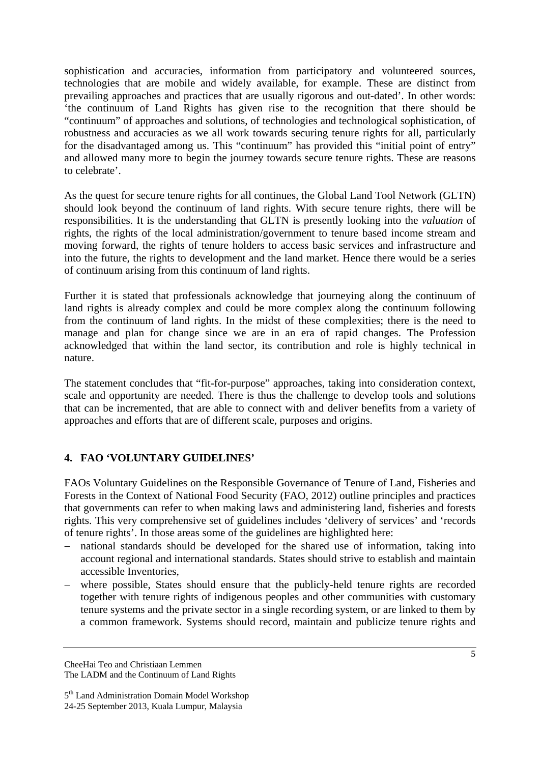sophistication and accuracies, information from participatory and volunteered sources, technologies that are mobile and widely available, for example. These are distinct from prevailing approaches and practices that are usually rigorous and out-dated'. In other words: 'the continuum of Land Rights has given rise to the recognition that there should be "continuum" of approaches and solutions, of technologies and technological sophistication, of robustness and accuracies as we all work towards securing tenure rights for all, particularly for the disadvantaged among us. This "continuum" has provided this "initial point of entry" and allowed many more to begin the journey towards secure tenure rights. These are reasons to celebrate'.

As the quest for secure tenure rights for all continues, the Global Land Tool Network (GLTN) should look beyond the continuum of land rights. With secure tenure rights, there will be responsibilities. It is the understanding that GLTN is presently looking into the *valuation* of rights, the rights of the local administration/government to tenure based income stream and moving forward, the rights of tenure holders to access basic services and infrastructure and into the future, the rights to development and the land market. Hence there would be a series of continuum arising from this continuum of land rights.

Further it is stated that professionals acknowledge that journeying along the continuum of land rights is already complex and could be more complex along the continuum following from the continuum of land rights. In the midst of these complexities; there is the need to manage and plan for change since we are in an era of rapid changes. The Profession acknowledged that within the land sector, its contribution and role is highly technical in nature.

The statement concludes that "fit-for-purpose" approaches, taking into consideration context, scale and opportunity are needed. There is thus the challenge to develop tools and solutions that can be incremented, that are able to connect with and deliver benefits from a variety of approaches and efforts that are of different scale, purposes and origins.

# **4. FAO 'VOLUNTARY GUIDELINES'**

FAOs Voluntary Guidelines on the Responsible Governance of Tenure of Land, Fisheries and Forests in the Context of National Food Security (FAO, 2012) outline principles and practices that governments can refer to when making laws and administering land, fisheries and forests rights. This very comprehensive set of guidelines includes 'delivery of services' and 'records of tenure rights'. In those areas some of the guidelines are highlighted here:

- national standards should be developed for the shared use of information, taking into account regional and international standards. States should strive to establish and maintain accessible Inventories,
- where possible, States should ensure that the publicly-held tenure rights are recorded together with tenure rights of indigenous peoples and other communities with customary tenure systems and the private sector in a single recording system, or are linked to them by a common framework. Systems should record, maintain and publicize tenure rights and

<sup>5</sup>th Land Administration Domain Model Workshop 24-25 September 2013, Kuala Lumpur, Malaysia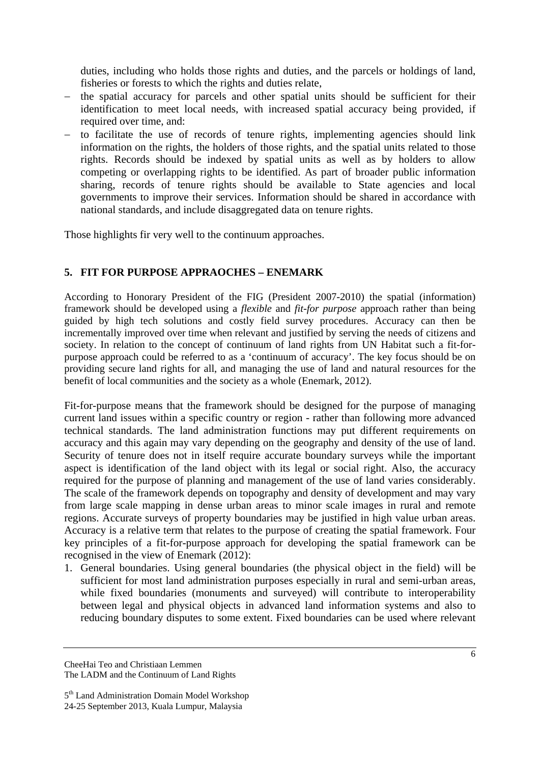duties, including who holds those rights and duties, and the parcels or holdings of land, fisheries or forests to which the rights and duties relate,

- the spatial accuracy for parcels and other spatial units should be sufficient for their identification to meet local needs, with increased spatial accuracy being provided, if required over time, and:
- to facilitate the use of records of tenure rights, implementing agencies should link information on the rights, the holders of those rights, and the spatial units related to those rights. Records should be indexed by spatial units as well as by holders to allow competing or overlapping rights to be identified. As part of broader public information sharing, records of tenure rights should be available to State agencies and local governments to improve their services. Information should be shared in accordance with national standards, and include disaggregated data on tenure rights.

Those highlights fir very well to the continuum approaches.

# **5. FIT FOR PURPOSE APPRAOCHES – ENEMARK**

According to Honorary President of the FIG (President 2007-2010) the spatial (information) framework should be developed using a *flexible* and *fit-for purpose* approach rather than being guided by high tech solutions and costly field survey procedures. Accuracy can then be incrementally improved over time when relevant and justified by serving the needs of citizens and society. In relation to the concept of continuum of land rights from UN Habitat such a fit-forpurpose approach could be referred to as a 'continuum of accuracy'. The key focus should be on providing secure land rights for all, and managing the use of land and natural resources for the benefit of local communities and the society as a whole (Enemark, 2012).

Fit-for-purpose means that the framework should be designed for the purpose of managing current land issues within a specific country or region - rather than following more advanced technical standards. The land administration functions may put different requirements on accuracy and this again may vary depending on the geography and density of the use of land. Security of tenure does not in itself require accurate boundary surveys while the important aspect is identification of the land object with its legal or social right. Also, the accuracy required for the purpose of planning and management of the use of land varies considerably. The scale of the framework depends on topography and density of development and may vary from large scale mapping in dense urban areas to minor scale images in rural and remote regions. Accurate surveys of property boundaries may be justified in high value urban areas. Accuracy is a relative term that relates to the purpose of creating the spatial framework. Four key principles of a fit-for-purpose approach for developing the spatial framework can be recognised in the view of Enemark (2012):

1. General boundaries. Using general boundaries (the physical object in the field) will be sufficient for most land administration purposes especially in rural and semi-urban areas, while fixed boundaries (monuments and surveyed) will contribute to interoperability between legal and physical objects in advanced land information systems and also to reducing boundary disputes to some extent. Fixed boundaries can be used where relevant

<sup>5&</sup>lt;sup>th</sup> Land Administration Domain Model Workshop 24-25 September 2013, Kuala Lumpur, Malaysia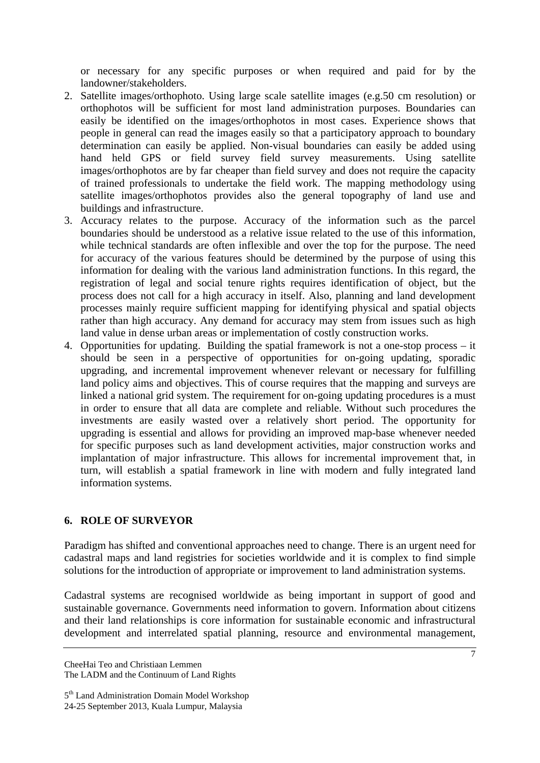or necessary for any specific purposes or when required and paid for by the landowner/stakeholders.

- 2. Satellite images/orthophoto. Using large scale satellite images (e.g.50 cm resolution) or orthophotos will be sufficient for most land administration purposes. Boundaries can easily be identified on the images/orthophotos in most cases. Experience shows that people in general can read the images easily so that a participatory approach to boundary determination can easily be applied. Non-visual boundaries can easily be added using hand held GPS or field survey field survey measurements. Using satellite images/orthophotos are by far cheaper than field survey and does not require the capacity of trained professionals to undertake the field work. The mapping methodology using satellite images/orthophotos provides also the general topography of land use and buildings and infrastructure.
- 3. Accuracy relates to the purpose. Accuracy of the information such as the parcel boundaries should be understood as a relative issue related to the use of this information, while technical standards are often inflexible and over the top for the purpose. The need for accuracy of the various features should be determined by the purpose of using this information for dealing with the various land administration functions. In this regard, the registration of legal and social tenure rights requires identification of object, but the process does not call for a high accuracy in itself. Also, planning and land development processes mainly require sufficient mapping for identifying physical and spatial objects rather than high accuracy. Any demand for accuracy may stem from issues such as high land value in dense urban areas or implementation of costly construction works.
- 4. Opportunities for updating. Building the spatial framework is not a one-stop process it should be seen in a perspective of opportunities for on-going updating, sporadic upgrading, and incremental improvement whenever relevant or necessary for fulfilling land policy aims and objectives. This of course requires that the mapping and surveys are linked a national grid system. The requirement for on-going updating procedures is a must in order to ensure that all data are complete and reliable. Without such procedures the investments are easily wasted over a relatively short period. The opportunity for upgrading is essential and allows for providing an improved map-base whenever needed for specific purposes such as land development activities, major construction works and implantation of major infrastructure. This allows for incremental improvement that, in turn, will establish a spatial framework in line with modern and fully integrated land information systems.

### **6. ROLE OF SURVEYOR**

Paradigm has shifted and conventional approaches need to change. There is an urgent need for cadastral maps and land registries for societies worldwide and it is complex to find simple solutions for the introduction of appropriate or improvement to land administration systems.

Cadastral systems are recognised worldwide as being important in support of good and sustainable governance. Governments need information to govern. Information about citizens and their land relationships is core information for sustainable economic and infrastructural development and interrelated spatial planning, resource and environmental management,

CheeHai Teo and Christiaan Lemmen The LADM and the Continuum of Land Rights

<sup>5&</sup>lt;sup>th</sup> Land Administration Domain Model Workshop 24-25 September 2013, Kuala Lumpur, Malaysia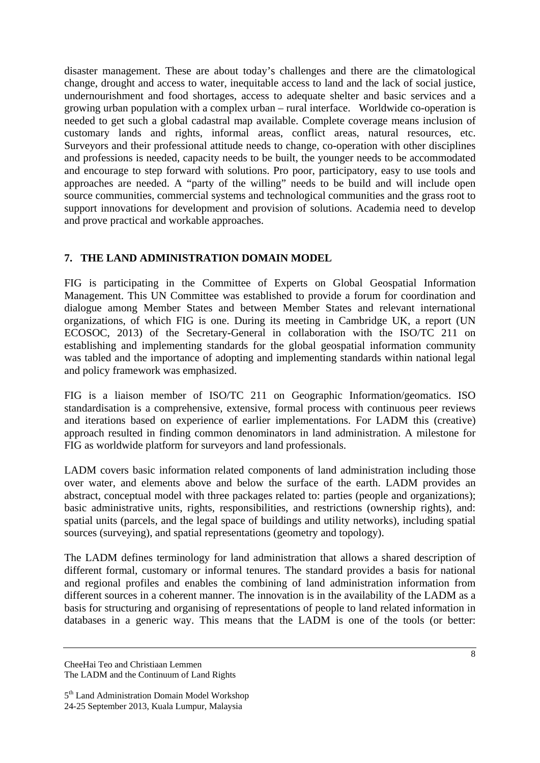disaster management. These are about today's challenges and there are the climatological change, drought and access to water, inequitable access to land and the lack of social justice, undernourishment and food shortages, access to adequate shelter and basic services and a growing urban population with a complex urban – rural interface. Worldwide co-operation is needed to get such a global cadastral map available. Complete coverage means inclusion of customary lands and rights, informal areas, conflict areas, natural resources, etc. Surveyors and their professional attitude needs to change, co-operation with other disciplines and professions is needed, capacity needs to be built, the younger needs to be accommodated and encourage to step forward with solutions. Pro poor, participatory, easy to use tools and approaches are needed. A "party of the willing" needs to be build and will include open source communities, commercial systems and technological communities and the grass root to support innovations for development and provision of solutions. Academia need to develop and prove practical and workable approaches.

### **7. THE LAND ADMINISTRATION DOMAIN MODEL**

FIG is participating in the Committee of Experts on Global Geospatial Information Management. This UN Committee was established to provide a forum for coordination and dialogue among Member States and between Member States and relevant international organizations, of which FIG is one. During its meeting in Cambridge UK, a report (UN ECOSOC, 2013) of the Secretary-General in collaboration with the ISO/TC 211 on establishing and implementing standards for the global geospatial information community was tabled and the importance of adopting and implementing standards within national legal and policy framework was emphasized.

FIG is a liaison member of ISO/TC 211 on Geographic Information/geomatics. ISO standardisation is a comprehensive, extensive, formal process with continuous peer reviews and iterations based on experience of earlier implementations. For LADM this (creative) approach resulted in finding common denominators in land administration. A milestone for FIG as worldwide platform for surveyors and land professionals.

LADM covers basic information related components of land administration including those over water, and elements above and below the surface of the earth. LADM provides an abstract, conceptual model with three packages related to: parties (people and organizations); basic administrative units, rights, responsibilities, and restrictions (ownership rights), and: spatial units (parcels, and the legal space of buildings and utility networks), including spatial sources (surveying), and spatial representations (geometry and topology).

The LADM defines terminology for land administration that allows a shared description of different formal, customary or informal tenures. The standard provides a basis for national and regional profiles and enables the combining of land administration information from different sources in a coherent manner. The innovation is in the availability of the LADM as a basis for structuring and organising of representations of people to land related information in databases in a generic way. This means that the LADM is one of the tools (or better:

CheeHai Teo and Christiaan Lemmen The LADM and the Continuum of Land Rights

<sup>5&</sup>lt;sup>th</sup> Land Administration Domain Model Workshop 24-25 September 2013, Kuala Lumpur, Malaysia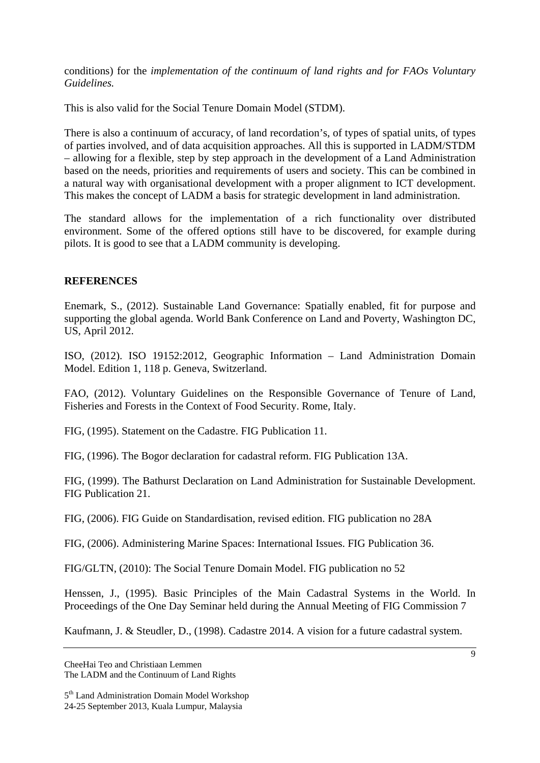conditions) for the *implementation of the continuum of land rights and for FAOs Voluntary Guidelines.*

This is also valid for the Social Tenure Domain Model (STDM).

There is also a continuum of accuracy, of land recordation's, of types of spatial units, of types of parties involved, and of data acquisition approaches. All this is supported in LADM/STDM – allowing for a flexible, step by step approach in the development of a Land Administration based on the needs, priorities and requirements of users and society. This can be combined in a natural way with organisational development with a proper alignment to ICT development. This makes the concept of LADM a basis for strategic development in land administration.

The standard allows for the implementation of a rich functionality over distributed environment. Some of the offered options still have to be discovered, for example during pilots. It is good to see that a LADM community is developing.

### **REFERENCES**

Enemark, S., (2012). Sustainable Land Governance: Spatially enabled, fit for purpose and supporting the global agenda. World Bank Conference on Land and Poverty, Washington DC, US, April 2012.

ISO, (2012). ISO 19152:2012, Geographic Information – Land Administration Domain Model. Edition 1, 118 p. Geneva, Switzerland.

FAO, (2012). Voluntary Guidelines on the Responsible Governance of Tenure of Land, Fisheries and Forests in the Context of Food Security. Rome, Italy.

FIG, (1995). Statement on the Cadastre. FIG Publication 11.

FIG, (1996). The Bogor declaration for cadastral reform. FIG Publication 13A.

FIG, (1999). The Bathurst Declaration on Land Administration for Sustainable Development. FIG Publication 21.

FIG, (2006). FIG Guide on Standardisation, revised edition. FIG publication no 28A

FIG, (2006). Administering Marine Spaces: International Issues. FIG Publication 36.

FIG/GLTN, (2010): The Social Tenure Domain Model. FIG publication no 52

Henssen, J., (1995). Basic Principles of the Main Cadastral Systems in the World. In Proceedings of the One Day Seminar held during the Annual Meeting of FIG Commission 7

Kaufmann, J. & Steudler, D., (1998). Cadastre 2014. A vision for a future cadastral system.

CheeHai Teo and Christiaan Lemmen The LADM and the Continuum of Land Rights

<sup>5&</sup>lt;sup>th</sup> Land Administration Domain Model Workshop 24-25 September 2013, Kuala Lumpur, Malaysia